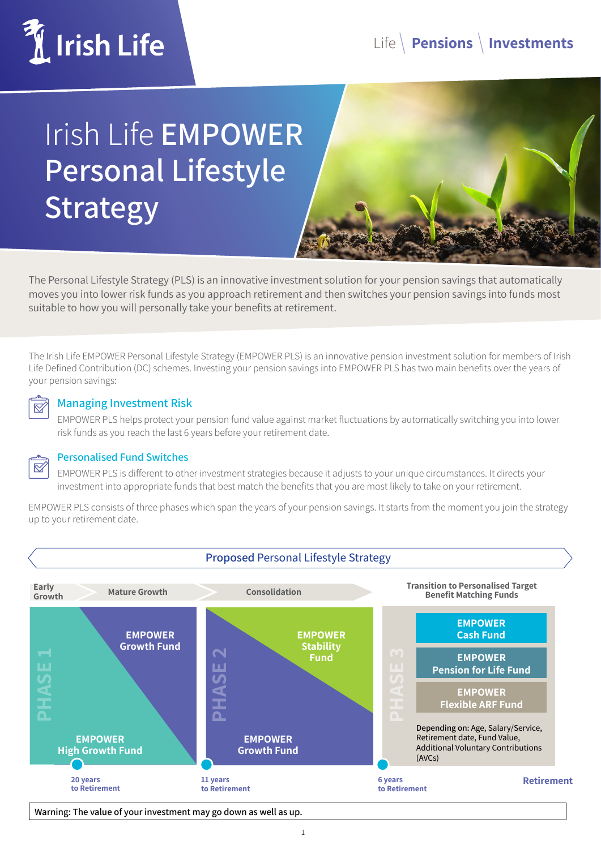

# Irish Life **EMPOWER Personal Lifestyle Strategy**

The Personal Lifestyle Strategy (PLS) is an innovative investment solution for your pension savings that automatically moves you into lower risk funds as you approach retirement and then switches your pension savings into funds most suitable to how you will personally take your benefits at retirement.

The Irish Life EMPOWER Personal Lifestyle Strategy (EMPOWER PLS) is an innovative pension investment solution for members of Irish Life Defined Contribution (DC) schemes. Investing your pension savings into EMPOWER PLS has two main benefits over the years of your pension savings:



#### **Managing Investment Risk**

EMPOWER PLS helps protect your pension fund value against market fluctuations by automatically switching you into lower risk funds as you reach the last 6 years before your retirement date.



#### **Personalised Fund Switches**

EMPOWER PLS is different to other investment strategies because it adjusts to your unique circumstances. It directs your investment into appropriate funds that best match the benefits that you are most likely to take on your retirement.

EMPOWER PLS consists of three phases which span the years of your pension savings. It starts from the moment you join the strategy up to your retirement date.



**Warning: The value of your investment may go down as well as up.**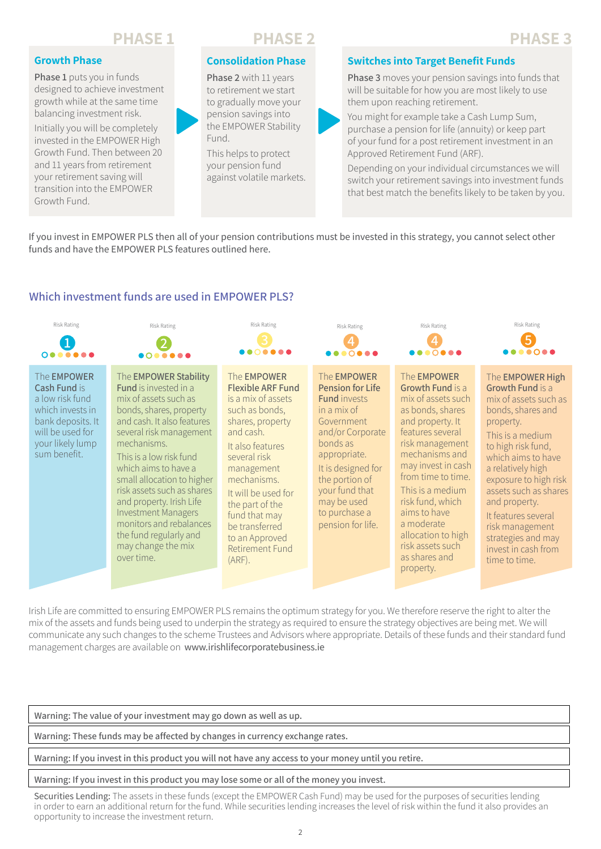## **PHASE 1 PHASE 2 PHASE 3**

#### **Growth Phase**

**Phase 1** puts you in funds designed to achieve investment growth while at the same time balancing investment risk.

Initially you will be completely invested in the EMPOWER High Growth Fund. Then between 20 and 11 years from retirement your retirement saving will transition into the EMPOWER Growth Fund.



## **Consolidation Phase**

**Phase 2** with 11 years to retirement we start to gradually move your pension savings into the EMPOWER Stability Fund.

This helps to protect your pension fund against volatile markets.

#### **Switches into Target Benefit Funds**

**Phase 3** moves your pension savings into funds that will be suitable for how you are most likely to use them upon reaching retirement.

You might for example take a Cash Lump Sum, purchase a pension for life (annuity) or keep part of your fund for a post retirement investment in an Approved Retirement Fund (ARF).

Depending on your individual circumstances we will switch your retirement savings into investment funds that best match the benefits likely to be taken by you.

If you invest in EMPOWER PLS then all of your pension contributions must be invested in this strategy, you cannot select other funds and have the EMPOWER PLS features outlined here.

#### **Which investment funds are used in EMPOWER PLS?**



Irish Life are committed to ensuring EMPOWER PLS remains the optimum strategy for you. We therefore reserve the right to alter the mix of the assets and funds being used to underpin the strategy as required to ensure the strategy objectives are being met. We will communicate any such changes to the scheme Trustees and Advisors where appropriate. Details of these funds and their standard fund management charges are available on www.irishlifecorporatebusiness.ie

**Warning: The value of your investment may go down as well as up.**

**Warning: These funds may be affected by changes in currency exchange rates.**

**Warning: If you invest in this product you will not have any access to your money until you retire.**

#### **Warning: If you invest in this product you may lose some or all of the money you invest.**

Securities Lending: The assets in these funds (except the EMPOWER Cash Fund) may be used for the purposes of securities lending in order to earn an additional return for the fund. While securities lending increases the level of risk within the fund it also provides an opportunity to increase the investment return.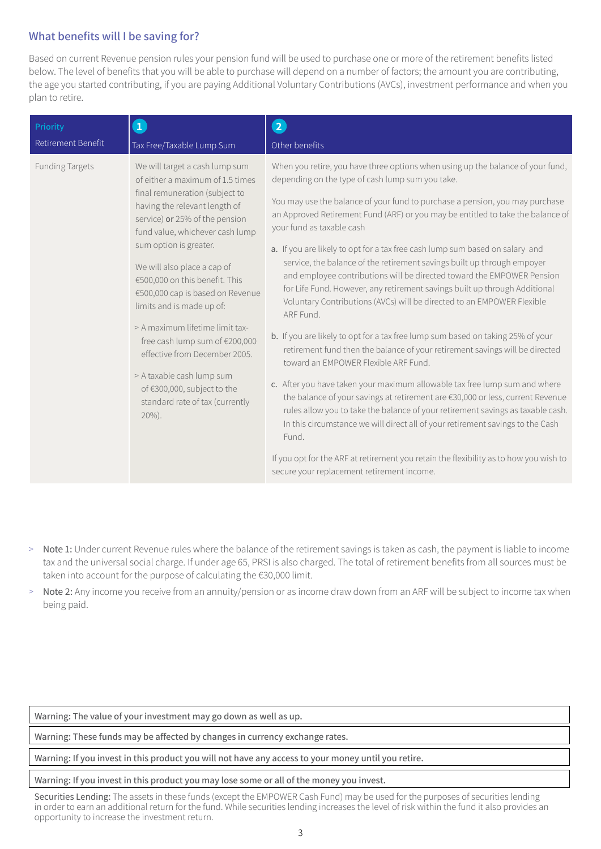## **What benefits will I be saving for?**

Based on current Revenue pension rules your pension fund will be used to purchase one or more of the retirement benefits listed below. The level of benefits that you will be able to purchase will depend on a number of factors; the amount you are contributing, the age you started contributing, if you are paying Additional Voluntary Contributions (AVCs), investment performance and when you plan to retire.

| Priority               | $\mathbf{1}$                                                                                                                                                                                                                                                                                                                                                                                                                                                                                                                                                                             | $\overline{2}$                                                                                                                                                                                                                                                                                                                                                                                                                                                                                                                                                                                                                                                                                                                                                                                                                                                                                                                                                                                                                                                                                                                                                                                                                                                                                                                                                                                                                                |
|------------------------|------------------------------------------------------------------------------------------------------------------------------------------------------------------------------------------------------------------------------------------------------------------------------------------------------------------------------------------------------------------------------------------------------------------------------------------------------------------------------------------------------------------------------------------------------------------------------------------|-----------------------------------------------------------------------------------------------------------------------------------------------------------------------------------------------------------------------------------------------------------------------------------------------------------------------------------------------------------------------------------------------------------------------------------------------------------------------------------------------------------------------------------------------------------------------------------------------------------------------------------------------------------------------------------------------------------------------------------------------------------------------------------------------------------------------------------------------------------------------------------------------------------------------------------------------------------------------------------------------------------------------------------------------------------------------------------------------------------------------------------------------------------------------------------------------------------------------------------------------------------------------------------------------------------------------------------------------------------------------------------------------------------------------------------------------|
| Retirement Benefit     | Tax Free/Taxable Lump Sum                                                                                                                                                                                                                                                                                                                                                                                                                                                                                                                                                                | Other benefits                                                                                                                                                                                                                                                                                                                                                                                                                                                                                                                                                                                                                                                                                                                                                                                                                                                                                                                                                                                                                                                                                                                                                                                                                                                                                                                                                                                                                                |
| <b>Funding Targets</b> | We will target a cash lump sum<br>of either a maximum of 1.5 times<br>final remuneration (subject to<br>having the relevant length of<br>service) or 25% of the pension<br>fund value, whichever cash lump<br>sum option is greater.<br>We will also place a cap of<br>€500,000 on this benefit. This<br>€500,000 cap is based on Revenue<br>limits and is made up of:<br>> A maximum lifetime limit tax-<br>free cash lump sum of €200,000<br>effective from December 2005.<br>> A taxable cash lump sum<br>of €300,000, subject to the<br>standard rate of tax (currently<br>$20\%$ ). | When you retire, you have three options when using up the balance of your fund,<br>depending on the type of cash lump sum you take.<br>You may use the balance of your fund to purchase a pension, you may purchase<br>an Approved Retirement Fund (ARF) or you may be entitled to take the balance of<br>your fund as taxable cash<br>a. If you are likely to opt for a tax free cash lump sum based on salary and<br>service, the balance of the retirement savings built up through empoyer<br>and employee contributions will be directed toward the EMPOWER Pension<br>for Life Fund. However, any retirement savings built up through Additional<br>Voluntary Contributions (AVCs) will be directed to an EMPOWER Flexible<br>ARF Fund.<br>b. If you are likely to opt for a tax free lump sum based on taking 25% of your<br>retirement fund then the balance of your retirement savings will be directed<br>toward an EMPOWER Flexible ARF Fund.<br>c. After you have taken your maximum allowable tax free lump sum and where<br>the balance of your savings at retirement are €30,000 or less, current Revenue<br>rules allow you to take the balance of your retirement savings as taxable cash.<br>In this circumstance we will direct all of your retirement savings to the Cash<br>Fund.<br>If you opt for the ARF at retirement you retain the flexibility as to how you wish to<br>secure your replacement retirement income. |

- > Note 1: Under current Revenue rules where the balance of the retirement savings is taken as cash, the payment is liable to income tax and the universal social charge. If under age 65, PRSI is also charged. The total of retirement benefits from all sources must be taken into account for the purpose of calculating the €30,000 limit.
- > Note 2: Any income you receive from an annuity/pension or as income draw down from an ARF will be subject to income tax when being paid.

**Warning: The value of your investment may go down as well as up.**

**Warning: These funds may be affected by changes in currency exchange rates.**

**Warning: If you invest in this product you will not have any access to your money until you retire.**

#### **Warning: If you invest in this product you may lose some or all of the money you invest.**

Securities Lending: The assets in these funds (except the EMPOWER Cash Fund) may be used for the purposes of securities lending in order to earn an additional return for the fund. While securities lending increases the level of risk within the fund it also provides an opportunity to increase the investment return.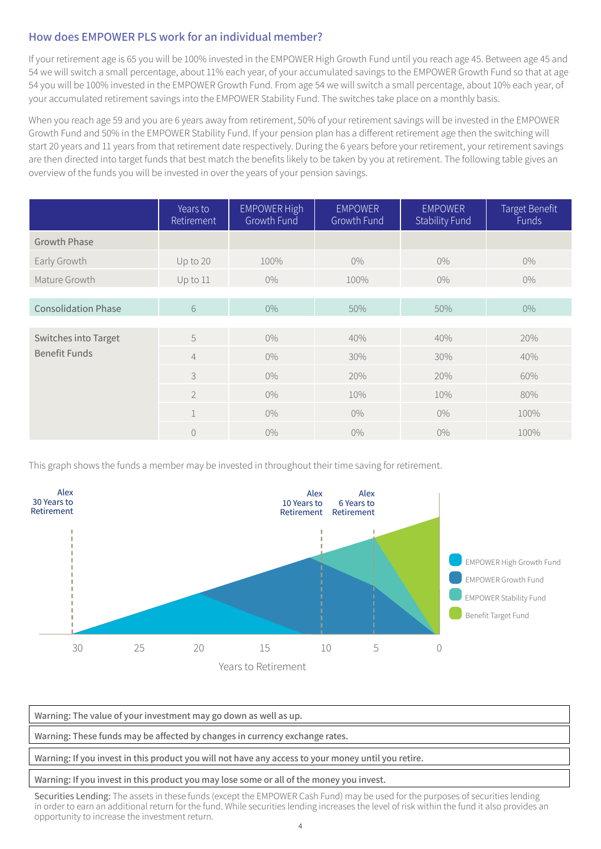## **How does EMPOWER PLS work for an individual member?**

If your retirement age is 65 you will be 100% invested in the EMPOWER High Growth Fund until you reach age 45. Between age 45 and 54 we will switch a small percentage, about 11% each year, of your accumulated savings to the EMPOWER Growth Fund so that at age 54 you will be 100% invested in the EMPOWER Growth Fund. From age 54 we will switch a small percentage, about 10% each year, of your accumulated retirement savings into the EMPOWER Stability Fund. The switches take place on a monthly basis.

When you reach age 59 and you are 6 years away from retirement, 50% of your retirement savings will be invested in the EMPOWER Growth Fund and 50% in the EMPOWER Stability Fund. If your pension plan has a different retirement age then the switching will start 20 years and 11 years from that retirement date respectively. During the 6 years before your retirement, your retirement savings are then directed into target funds that best match the benefits likely to be taken by you at retirement. The following table gives an overview of the funds you will be invested in over the years of your pension savings.

|                            | Years to<br>Retirement | EMPOWER High<br>Growth Fund | <b>EMPOWER</b><br>Growth Fund | <b>EMPOWER</b><br><b>Stability Fund</b> | Target Benefit<br>Funds |
|----------------------------|------------------------|-----------------------------|-------------------------------|-----------------------------------------|-------------------------|
| <b>Growth Phase</b>        |                        |                             |                               |                                         |                         |
| Early Growth               | Up to 20               | 100%                        | $0\%$                         | $0\%$                                   | $0\%$                   |
| Mature Growth              | Up to 11               | $0\%$                       | 100%                          | $0\%$                                   | $0\%$                   |
|                            |                        |                             |                               |                                         |                         |
| <b>Consolidation Phase</b> | 6                      | $0\%$                       | 50%                           | 50%                                     | $0\%$                   |
|                            |                        |                             |                               |                                         |                         |
| Switches into Target       | 5                      | $0\%$                       | 40%                           | 40%                                     | 20%                     |
| <b>Benefit Funds</b>       | $\overline{4}$         | $0\%$                       | 30%                           | 30%                                     | 40%                     |
|                            | 3                      | $0\%$                       | 20%                           | 20%                                     | 60%                     |
|                            | $\overline{2}$         | $0\%$                       | 10%                           | 10%                                     | 80%                     |
|                            | $\mathbf{1}$           | $0\%$                       | $0\%$                         | $0\%$                                   | 100%                    |
|                            | $\overline{0}$         | $0\%$                       | $0\%$                         | $0\%$                                   | 100%                    |

This graph shows the funds a member may be invested in throughout their time saving for retirement.



**Warning: The value of your investment may go down as well as up. Warning: These funds may be affected by changes in currency exchange rates. Warning: If you invest in this product you will not have any access to your money until you retire.**

#### **Warning: If you invest in this product you may lose some or all of the money you invest.**

Securities Lending: The assets in these funds (except the EMPOWER Cash Fund) may be used for the purposes of securities lending in order to earn an additional return for the fund. While securities lending increases the level of risk within the fund it also provides an opportunity to increase the investment return.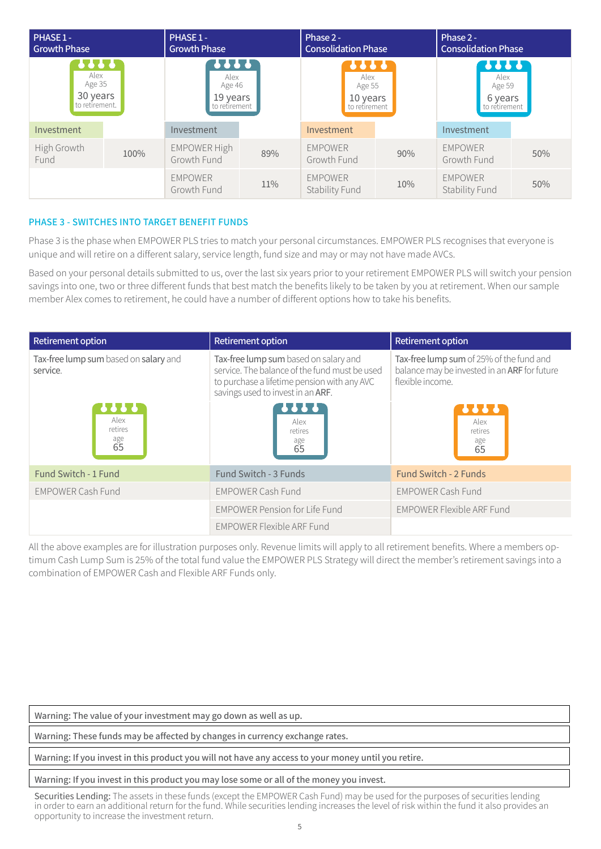| PHASE 1-<br><b>Growth Phase</b>                         |      | PHASE 1 -<br><b>Growth Phase</b>                           |     | Phase 2 -<br><b>Consolidation Phase</b>             |     | Phase 2 -<br><b>Consolidation Phase</b>                   |     |
|---------------------------------------------------------|------|------------------------------------------------------------|-----|-----------------------------------------------------|-----|-----------------------------------------------------------|-----|
| <b></b><br>Alex<br>Age 35<br>30 years<br>to retirement. |      | <b>1111</b><br>Alex<br>Age 46<br>19 years<br>to retirement |     | ,,,,<br>Alex<br>Age 55<br>10 years<br>to retirement |     | <b>????</b><br>Alex<br>Age 59<br>6 years<br>to retirement |     |
| Investment                                              |      | Investment                                                 |     | Investment                                          |     | Investment                                                |     |
| High Growth<br>Fund                                     | 100% | <b>EMPOWER High</b><br>Growth Fund                         | 89% | <b>EMPOWER</b><br>Growth Fund                       | 90% | <b>EMPOWER</b><br>Growth Fund                             | 50% |
|                                                         |      | <b>EMPOWER</b><br>Growth Fund                              | 11% | <b>EMPOWER</b><br>Stability Fund                    | 10% | <b>EMPOWER</b><br>Stability Fund                          | 50% |

#### **PHASE 3 - SWITCHES INTO TARGET BENEFIT FUNDS**

Phase 3 is the phase when EMPOWER PLS tries to match your personal circumstances. EMPOWER PLS recognises that everyone is unique and will retire on a different salary, service length, fund size and may or may not have made AVCs.

Based on your personal details submitted to us, over the last six years prior to your retirement EMPOWER PLS will switch your pension savings into one, two or three different funds that best match the benefits likely to be taken by you at retirement. When our sample member Alex comes to retirement, he could have a number of different options how to take his benefits.

| <b>Retirement option</b>                          | <b>Retirement option</b>                                                                                                                                                   | <b>Retirement option</b>                                                                                     |  |
|---------------------------------------------------|----------------------------------------------------------------------------------------------------------------------------------------------------------------------------|--------------------------------------------------------------------------------------------------------------|--|
| Tax-free lump sum based on salary and<br>service. | Tax-free lump sum based on salary and<br>service. The balance of the fund must be used<br>to purchase a lifetime pension with any AVC<br>savings used to invest in an ARF. | Tax-free lump sum of 25% of the fund and<br>balance may be invested in an ARF for future<br>flexible income. |  |
| <br>Alex<br>retires<br>age<br>65                  | <b>666</b><br>Alex<br>retires<br>age<br>65                                                                                                                                 | <br>Alex<br>retires<br>age<br>65                                                                             |  |
| Fund Switch - 1 Fund                              | Fund Switch - 3 Funds                                                                                                                                                      | <b>Fund Switch - 2 Funds</b>                                                                                 |  |
| <b>EMPOWER Cash Fund</b>                          | <b>EMPOWER Cash Fund</b>                                                                                                                                                   | <b>EMPOWER Cash Fund</b>                                                                                     |  |
|                                                   | <b>EMPOWER Pension for Life Fund</b>                                                                                                                                       | <b>EMPOWER Flexible ARF Fund</b>                                                                             |  |
|                                                   | EMPOWER Flexible ARF Fund                                                                                                                                                  |                                                                                                              |  |

All the above examples are for illustration purposes only. Revenue limits will apply to all retirement benefits. Where a members optimum Cash Lump Sum is 25% of the total fund value the EMPOWER PLS Strategy will direct the member's retirement savings into a combination of EMPOWER Cash and Flexible ARF Funds only.

**Warning: The value of your investment may go down as well as up.**

**Warning: These funds may be affected by changes in currency exchange rates.**

**Warning: If you invest in this product you will not have any access to your money until you retire.**

**Warning: If you invest in this product you may lose some or all of the money you invest.**

Securities Lending: The assets in these funds (except the EMPOWER Cash Fund) may be used for the purposes of securities lending in order to earn an additional return for the fund. While securities lending increases the level of risk within the fund it also provides an opportunity to increase the investment return.